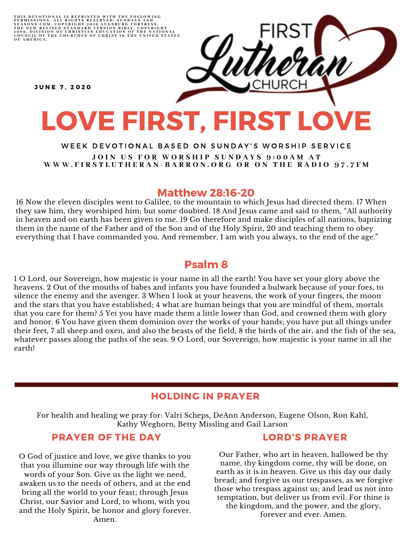THIS DEVOTIONAL IS REPRINTED WITH THE FOLLOWING<br>PERMISSIONS, ALL RIGHTS RESERVED: SUNDAYS AND<br>SEASONS.COM. COPYRIGHT 2016 AUGSBURG FORTRESS.<br>THE NEW REVISED STANDARD VERSION BIBLE, COPYRIGHT<br>1959, DIVISION OF CHRISTIAN EDU

**JUNE 7. 2020** 

# LOVE FIRST, FIRST LOVE

#### WEEK DEVOTIONAL BASED ON SUNDAY'S WORSHIP SERVICE JOIN US FOR WORSHIP SUNDAYS 9:00AM AT WWW.FIRSTLUTHERAN-BARRON.ORG OR ON THE RADIO 97.7FM

#### Matthew 28:16-20

16 Now the eleven disciples went to Galilee, to the mountain to which Jesus had directed them. 17 When they saw him, they worshiped him; but some doubted. 18 And Jesus came and said to them, "All authority in heaven and on earth has been given to me. 19 Go therefore and make disciples of all nations, baptizing them in the name of the Father and of the Son and of the Holy Spirit, 20 and teaching them to obey everything that I have commanded you. And remember, I am with you always, to the end of the age."

### Psalm 8

1 O Lord, our Sovereign, how majestic is your name in all the earth! You have set your glory above the heavens. 2 Out of the mouths of babes and infants you have founded a bulwark because of your foes, to silence the enemy and the avenger. 3 When I look at your heavens, the work of your fingers, the moon and the stars that you have established; 4 what are human beings that you are mindful of them, mortals that you care for them? 5 Yet you have made them a little lower than God, and crowned them with glory and honor. 6 You have given them dominion over the works of your hands; you have put all things under their feet, 7 all sheep and oxen, and also the beasts of the field, 8 the birds of the air, and the fish of the sea, whatever passes along the paths of the seas. 9 O Lord, our Sovereign, how majestic is your name in all the earth!

## HOLDING IN PRAYER

For health and healing we pray for: Valri Scheps, DeAnn Anderson, Eugene Olson, Ron Kahl, Kathy Weghorn, Betty Missling and Gail Larson

#### PRAYER OF THE DAY

O God of justice and love, we give thanks to you that you illumine our way through life with the words of your Son. Give us the light we need, awaken us to the needs of others, and at the end bring all the world to your feast; through Jesus Christ, our Savior and Lord, to whom, with you and the Holy Spirit, be honor and glory forever. Amen.

#### LORD'S PRAYER

Our Father, who art in heaven, hallowed be thy name, thy kingdom come, thy will be done, on earth as it is in heaven. Give us this day our daily bread; and forgive us our trespasses, as we forgive those who trespass against us; and lead us not into temptation, but deliver us from evil. For thine is the kingdom, and the power, and the glory, forever and ever. Amen.